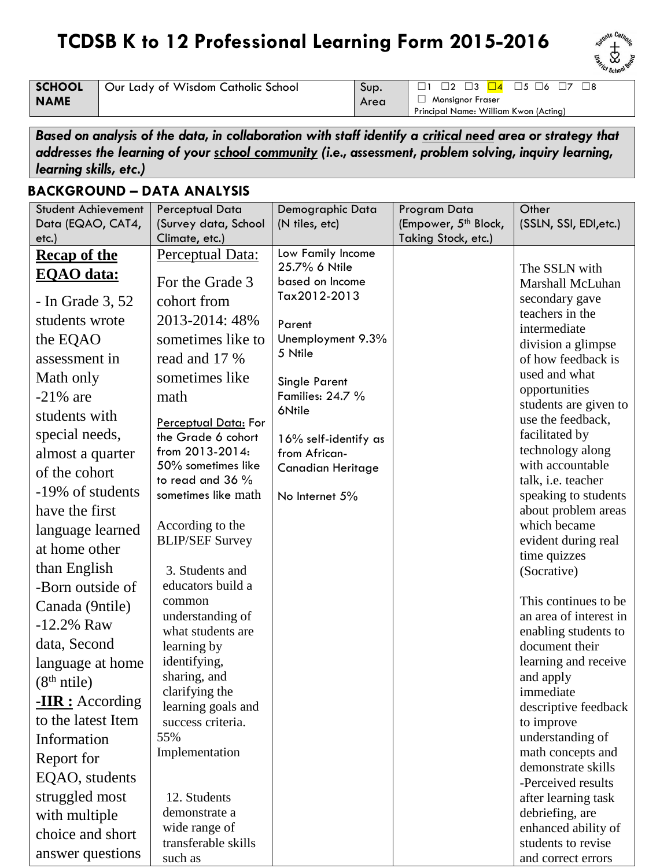## **TCDSB K to 12 Professional Learning Form 2015-2016**



**SCHOOL NAME**

Our Lady of Wisdom Catholic School Sup.

Area

☐ Monsignor Fraser Principal Name: William Kwon (Acting)

☐1 ☐2 ☐3 ☐4 ☐5 ☐6 ☐7 ☐8

*Based on analysis of the data, in collaboration with staff identify a critical need area or strategy that addresses the learning of your school community (i.e., assessment, problem solving, inquiry learning, learning skills, etc.)*

## **BACKGROUND – DATA ANALYSIS**

| <b>Student Achievement</b> | Perceptual Data                        | Demographic Data                   | Program Data                     | Other                                          |
|----------------------------|----------------------------------------|------------------------------------|----------------------------------|------------------------------------------------|
| Data (EQAO, CAT4,          | (Survey data, School                   | (N tiles, etc)                     | (Empower, 5 <sup>th</sup> Block, | (SSLN, SSI, EDI, etc.)                         |
| etc.)                      | Climate, etc.)                         |                                    | Taking Stock, etc.)              |                                                |
| <b>Recap of the</b>        | Perceptual Data:                       | Low Family Income<br>25.7% 6 Ntile |                                  |                                                |
| <b>EQAO</b> data:          | For the Grade 3                        | based on Income                    |                                  | The SSLN with<br>Marshall McLuhan              |
| - In Grade $3, 52$         | cohort from                            | Tax2012-2013                       |                                  | secondary gave                                 |
| students wrote             | 2013-2014: 48%                         | Parent                             |                                  | teachers in the<br>intermediate                |
| the EQAO                   | sometimes like to                      | Unemployment 9.3%                  |                                  | division a glimpse                             |
| assessment in              | read and 17 %                          | 5 Ntile                            |                                  | of how feedback is                             |
| Math only                  | sometimes like                         | Single Parent                      |                                  | used and what                                  |
| $-21\%$ are                | math                                   | Families: 24.7 %                   |                                  | opportunities<br>students are given to         |
| students with              | Perceptual Data: For                   | 6Ntile                             |                                  | use the feedback,                              |
| special needs,             | the Grade 6 cohort                     | 16% self-identify as               |                                  | facilitated by                                 |
| almost a quarter           | from 2013-2014:                        | from African-                      |                                  | technology along                               |
| of the cohort              | 50% sometimes like<br>to read and 36 % | <b>Canadian Heritage</b>           |                                  | with accountable<br>talk, i.e. teacher         |
| -19% of students           | sometimes like math                    | No Internet 5%                     |                                  | speaking to students                           |
| have the first             |                                        |                                    |                                  | about problem areas                            |
| language learned           | According to the                       |                                    |                                  | which became                                   |
| at home other              | <b>BLIP/SEF Survey</b>                 |                                    |                                  | evident during real<br>time quizzes            |
| than English               | 3. Students and                        |                                    |                                  | (Socrative)                                    |
| -Born outside of           | educators build a                      |                                    |                                  |                                                |
| Canada (9ntile)            | common                                 |                                    |                                  | This continues to be                           |
| $-12.2%$ Raw               | understanding of<br>what students are  |                                    |                                  | an area of interest in<br>enabling students to |
| data, Second               | learning by                            |                                    |                                  | document their                                 |
| language at home           | identifying,                           |                                    |                                  | learning and receive                           |
| (8 <sup>th</sup> ntile)    | sharing, and                           |                                    |                                  | and apply                                      |
| $-HR:$ According           | clarifying the<br>learning goals and   |                                    |                                  | immediate                                      |
| to the latest Item         | success criteria.                      |                                    |                                  | descriptive feedback<br>to improve             |
| Information                | 55%                                    |                                    |                                  | understanding of                               |
| Report for                 | Implementation                         |                                    |                                  | math concepts and                              |
| EQAO, students             |                                        |                                    |                                  | demonstrate skills<br>-Perceived results       |
| struggled most             | 12. Students                           |                                    |                                  | after learning task                            |
| with multiple              | demonstrate a                          |                                    |                                  | debriefing, are                                |
| choice and short           | wide range of                          |                                    |                                  | enhanced ability of                            |
| answer questions           | transferable skills                    |                                    |                                  | students to revise                             |
|                            | such as                                |                                    |                                  | and correct errors                             |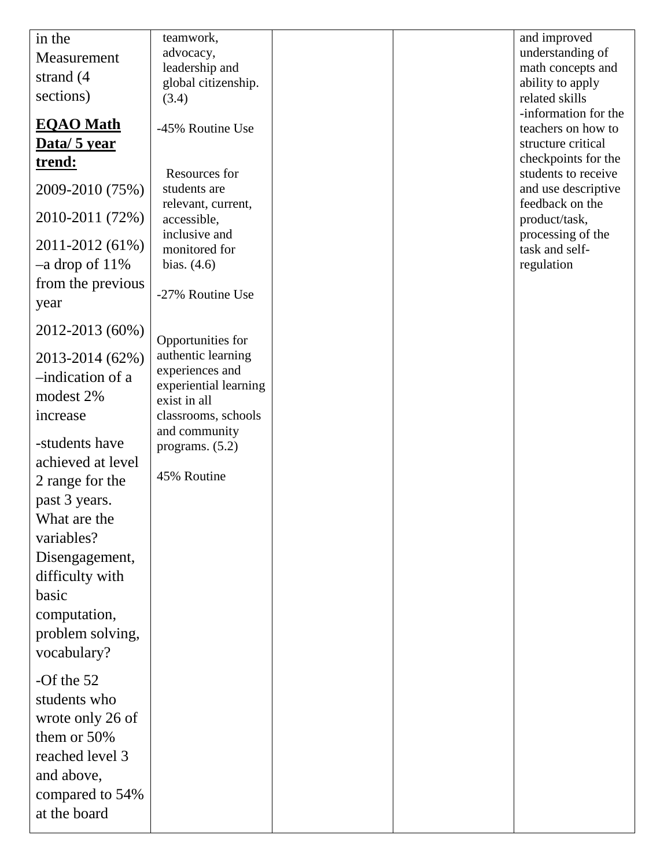| in the              | teamwork,             |  | and improved         |
|---------------------|-----------------------|--|----------------------|
| Measurement         | advocacy,             |  | understanding of     |
|                     | leadership and        |  | math concepts and    |
| strand (4)          | global citizenship.   |  | ability to apply     |
| sections)           | (3.4)                 |  | related skills       |
|                     |                       |  | -information for the |
| <b>EQAO</b> Math    | -45% Routine Use      |  | teachers on how to   |
| Data/ 5 year        |                       |  | structure critical   |
| <u>trend:</u>       |                       |  | checkpoints for the  |
|                     | Resources for         |  | students to receive  |
| 2009-2010 (75%)     | students are          |  | and use descriptive  |
|                     | relevant, current,    |  | feedback on the      |
| 2010-2011 (72%)     | accessible,           |  | product/task,        |
|                     | inclusive and         |  | processing of the    |
| 2011-2012 (61%)     | monitored for         |  | task and self-       |
| $-a$ drop of $11\%$ | bias. $(4.6)$         |  | regulation           |
| from the previous   |                       |  |                      |
| year                | -27% Routine Use      |  |                      |
|                     |                       |  |                      |
| 2012-2013 (60%)     |                       |  |                      |
|                     | Opportunities for     |  |                      |
| 2013-2014 (62%)     | authentic learning    |  |                      |
| -indication of a    | experiences and       |  |                      |
| modest 2%           | experiential learning |  |                      |
|                     | exist in all          |  |                      |
| increase            | classrooms, schools   |  |                      |
| -students have      | and community         |  |                      |
|                     | programs. $(5.2)$     |  |                      |
| achieved at level   | 45% Routine           |  |                      |
| 2 range for the     |                       |  |                      |
| past 3 years.       |                       |  |                      |
| What are the        |                       |  |                      |
| variables?          |                       |  |                      |
|                     |                       |  |                      |
| Disengagement,      |                       |  |                      |
| difficulty with     |                       |  |                      |
| basic               |                       |  |                      |
| computation,        |                       |  |                      |
|                     |                       |  |                      |
| problem solving,    |                       |  |                      |
| vocabulary?         |                       |  |                      |
| -Of the $52$        |                       |  |                      |
|                     |                       |  |                      |
| students who        |                       |  |                      |
| wrote only 26 of    |                       |  |                      |
| them or 50%         |                       |  |                      |
| reached level 3     |                       |  |                      |
|                     |                       |  |                      |
| and above,          |                       |  |                      |
| compared to 54%     |                       |  |                      |
| at the board        |                       |  |                      |
|                     |                       |  |                      |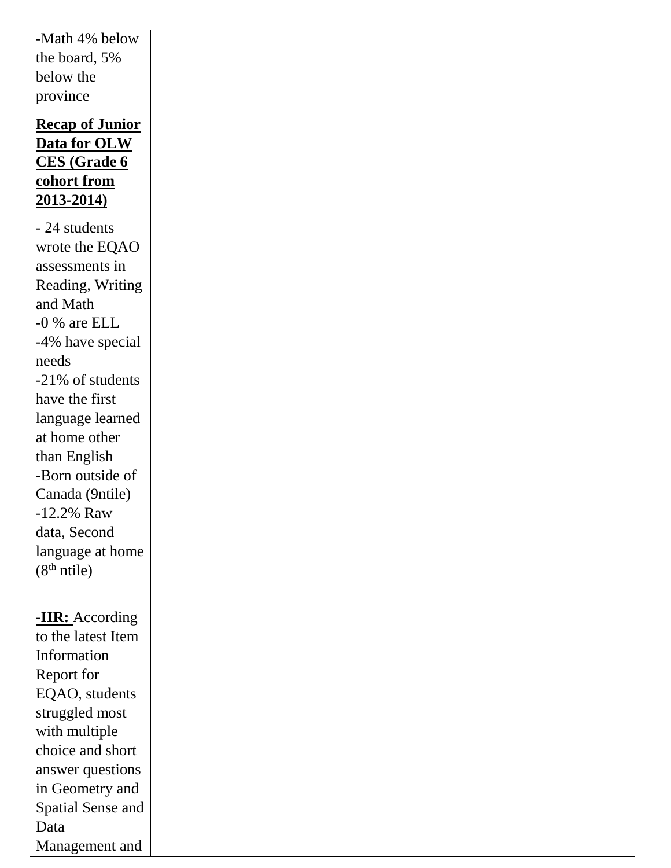| -Math 4% below                    |  |  |
|-----------------------------------|--|--|
| the board, 5%                     |  |  |
| below the                         |  |  |
| province                          |  |  |
| <b>Recap of Junior</b>            |  |  |
| Data for OLW                      |  |  |
| <b>CES</b> (Grade 6               |  |  |
| cohort from                       |  |  |
| 2013-2014)                        |  |  |
|                                   |  |  |
| - 24 students                     |  |  |
| wrote the EQAO                    |  |  |
| assessments in                    |  |  |
| Reading, Writing                  |  |  |
| and Math                          |  |  |
| $-0$ % are ELL                    |  |  |
| -4% have special                  |  |  |
| needs                             |  |  |
| -21% of students                  |  |  |
| have the first                    |  |  |
| language learned<br>at home other |  |  |
|                                   |  |  |
| than English<br>-Born outside of  |  |  |
| Canada (9ntile)                   |  |  |
| $-12.2\%$ Raw                     |  |  |
| data, Second                      |  |  |
| language at home                  |  |  |
| (8 <sup>th</sup> ntile)           |  |  |
|                                   |  |  |
|                                   |  |  |
| -IIR: According                   |  |  |
| to the latest Item                |  |  |
| Information                       |  |  |
| Report for                        |  |  |
| EQAO, students                    |  |  |
| struggled most                    |  |  |
| with multiple                     |  |  |
| choice and short                  |  |  |
| answer questions                  |  |  |
| in Geometry and                   |  |  |
| <b>Spatial Sense and</b>          |  |  |
| Data                              |  |  |
| Management and                    |  |  |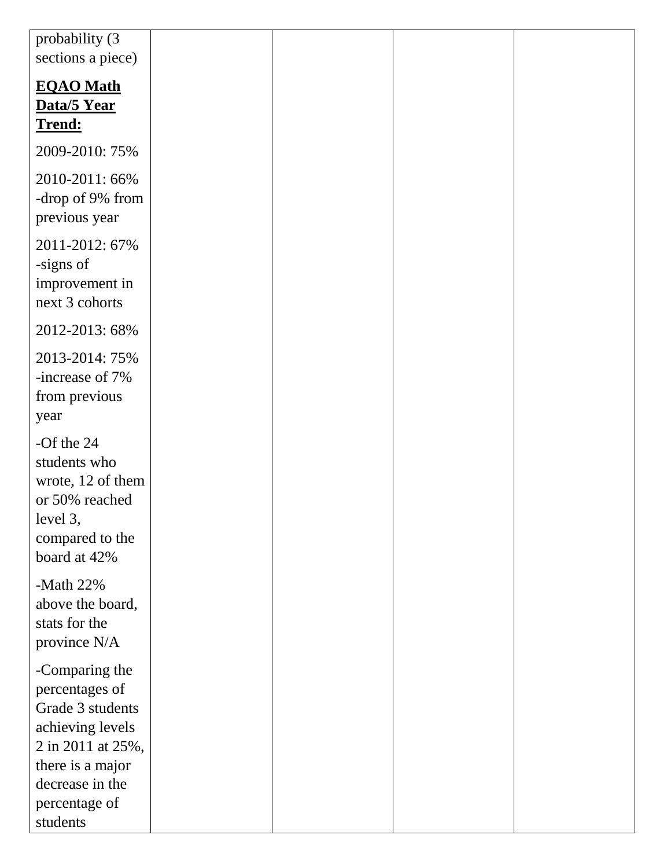| probability (3<br>sections a piece)                                                                                                  |  |  |
|--------------------------------------------------------------------------------------------------------------------------------------|--|--|
| <b>EQAO</b> Math<br>Data/5 Year<br>Trend:                                                                                            |  |  |
| 2009-2010: 75%                                                                                                                       |  |  |
| 2010-2011: 66%<br>-drop of 9% from<br>previous year                                                                                  |  |  |
| 2011-2012: 67%<br>-signs of<br>improvement in<br>next 3 cohorts                                                                      |  |  |
| 2012-2013: 68%                                                                                                                       |  |  |
| 2013-2014: 75%<br>-increase of 7%<br>from previous<br>year                                                                           |  |  |
| -Of the $24$<br>students who<br>wrote, 12 of them<br>or 50% reached<br>level 3,<br>compared to the<br>board at 42%                   |  |  |
| -Math $22%$<br>above the board,<br>stats for the<br>province N/A                                                                     |  |  |
| -Comparing the<br>percentages of<br>Grade 3 students<br>achieving levels<br>2 in 2011 at 25%,<br>there is a major<br>decrease in the |  |  |
| percentage of<br>students                                                                                                            |  |  |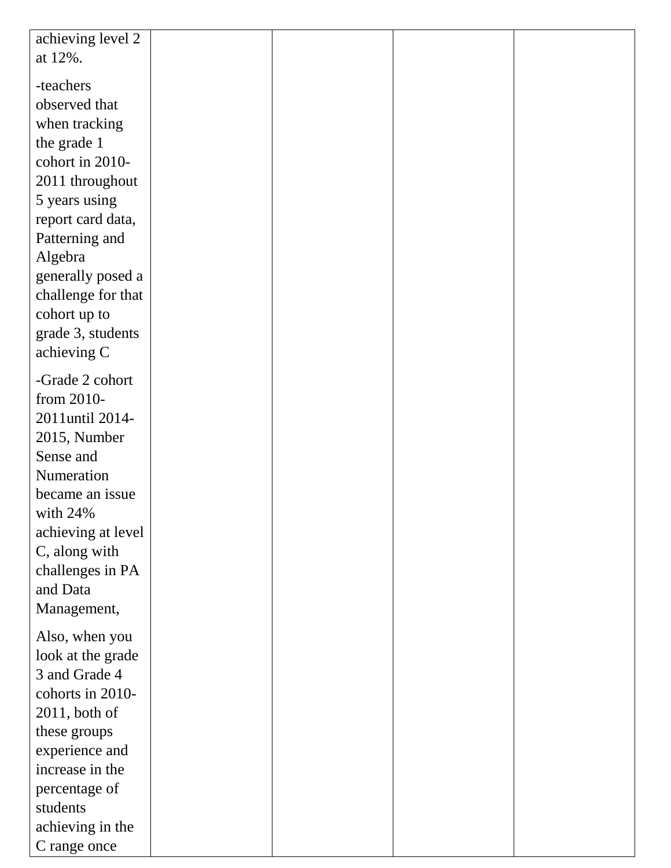| achieving level 2  |  |  |
|--------------------|--|--|
| at 12%.            |  |  |
| -teachers          |  |  |
| observed that      |  |  |
| when tracking      |  |  |
| the grade 1        |  |  |
| cohort in 2010-    |  |  |
| 2011 throughout    |  |  |
| 5 years using      |  |  |
| report card data,  |  |  |
| Patterning and     |  |  |
| Algebra            |  |  |
| generally posed a  |  |  |
| challenge for that |  |  |
| cohort up to       |  |  |
| grade 3, students  |  |  |
| achieving C        |  |  |
| -Grade 2 cohort    |  |  |
| from 2010-         |  |  |
| 2011until 2014-    |  |  |
| 2015, Number       |  |  |
| Sense and          |  |  |
| Numeration         |  |  |
| became an issue    |  |  |
| with $24%$         |  |  |
| achieving at level |  |  |
| C, along with      |  |  |
| challenges in PA   |  |  |
| and Data           |  |  |
| Management,        |  |  |
| Also, when you     |  |  |
| look at the grade  |  |  |
| 3 and Grade 4      |  |  |
| cohorts in 2010-   |  |  |
| $2011$ , both of   |  |  |
| these groups       |  |  |
| experience and     |  |  |
| increase in the    |  |  |
| percentage of      |  |  |
| students           |  |  |
| achieving in the   |  |  |
| C range once       |  |  |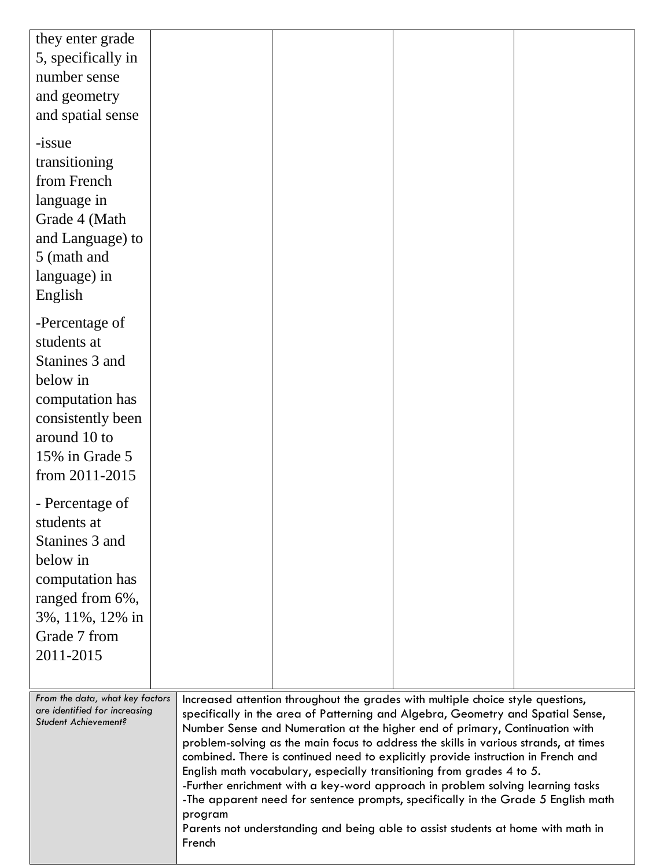| they enter grade<br>5, specifically in                |         |                                                                                                                                                                     |  |
|-------------------------------------------------------|---------|---------------------------------------------------------------------------------------------------------------------------------------------------------------------|--|
| number sense                                          |         |                                                                                                                                                                     |  |
| and geometry                                          |         |                                                                                                                                                                     |  |
| and spatial sense                                     |         |                                                                                                                                                                     |  |
|                                                       |         |                                                                                                                                                                     |  |
| -issue                                                |         |                                                                                                                                                                     |  |
| transitioning                                         |         |                                                                                                                                                                     |  |
| from French                                           |         |                                                                                                                                                                     |  |
| language in<br>Grade 4 (Math                          |         |                                                                                                                                                                     |  |
| and Language) to                                      |         |                                                                                                                                                                     |  |
| 5 (math and                                           |         |                                                                                                                                                                     |  |
| language) in                                          |         |                                                                                                                                                                     |  |
| English                                               |         |                                                                                                                                                                     |  |
|                                                       |         |                                                                                                                                                                     |  |
| -Percentage of<br>students at                         |         |                                                                                                                                                                     |  |
| Stanines 3 and                                        |         |                                                                                                                                                                     |  |
| below in                                              |         |                                                                                                                                                                     |  |
| computation has                                       |         |                                                                                                                                                                     |  |
| consistently been                                     |         |                                                                                                                                                                     |  |
| around 10 to                                          |         |                                                                                                                                                                     |  |
| 15% in Grade 5                                        |         |                                                                                                                                                                     |  |
| from 2011-2015                                        |         |                                                                                                                                                                     |  |
| - Percentage of                                       |         |                                                                                                                                                                     |  |
| students at                                           |         |                                                                                                                                                                     |  |
| Stanines 3 and                                        |         |                                                                                                                                                                     |  |
| below in                                              |         |                                                                                                                                                                     |  |
| computation has                                       |         |                                                                                                                                                                     |  |
| ranged from 6%,                                       |         |                                                                                                                                                                     |  |
| 3%, 11%, 12% in<br>Grade 7 from                       |         |                                                                                                                                                                     |  |
| 2011-2015                                             |         |                                                                                                                                                                     |  |
|                                                       |         |                                                                                                                                                                     |  |
| From the data, what key factors                       |         | Increased attention throughout the grades with multiple choice style questions,                                                                                     |  |
| are identified for increasing<br>Student Achievement? |         | specifically in the area of Patterning and Algebra, Geometry and Spatial Sense,                                                                                     |  |
|                                                       |         | Number Sense and Numeration at the higher end of primary, Continuation with<br>problem-solving as the main focus to address the skills in various strands, at times |  |
|                                                       |         | combined. There is continued need to explicitly provide instruction in French and                                                                                   |  |
|                                                       |         | English math vocabulary, especially transitioning from grades 4 to 5.<br>-Further enrichment with a key-word approach in problem solving learning tasks             |  |
|                                                       |         | -The apparent need for sentence prompts, specifically in the Grade 5 English math                                                                                   |  |
|                                                       | program | Parents not understanding and being able to assist students at home with math in                                                                                    |  |
|                                                       | French  |                                                                                                                                                                     |  |
|                                                       |         |                                                                                                                                                                     |  |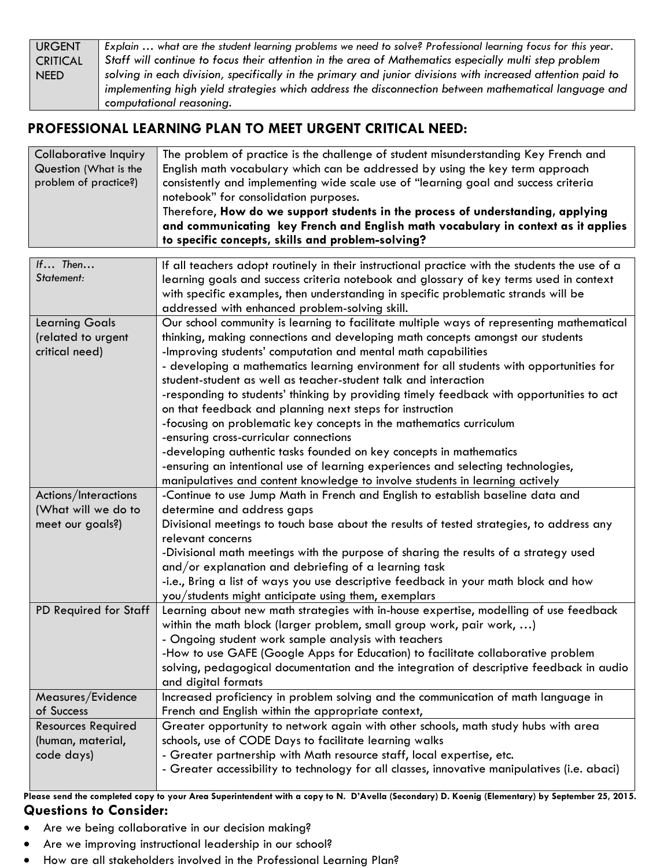| <b>URGENT</b>   | Explain  what are the student learning problems we need to solve? Professional learning focus for this year. |
|-----------------|--------------------------------------------------------------------------------------------------------------|
| <b>CRITICAL</b> | Staff will continue to focus their attention in the area of Mathematics especially multi step problem        |
| <b>NEED</b>     | solving in each division, specifically in the primary and junior divisions with increased attention paid to  |
|                 | implementing high yield strategies which address the disconnection between mathematical language and         |
|                 | computational reasoning.                                                                                     |

## **PROFESSIONAL LEARNING PLAN TO MEET URGENT CRITICAL NEED:**

| The problem of practice is the challenge of student misunderstanding Key French and |
|-------------------------------------------------------------------------------------|
| English math vocabulary which can be addressed by using the key term approach       |
| consistently and implementing wide scale use of "learning goal and success criteria |
| notebook" for consolidation purposes.                                               |
| Therefore, How do we support students in the process of understanding, applying     |
| and communicating key French and English math vocabulary in context as it applies   |
| to specific concepts, skills and problem-solving?                                   |
|                                                                                     |

| If Then                   | If all teachers adopt routinely in their instructional practice with the students the use of a |
|---------------------------|------------------------------------------------------------------------------------------------|
| Statement:                | learning goals and success criteria notebook and glossary of key terms used in context         |
|                           | with specific examples, then understanding in specific problematic strands will be             |
|                           | addressed with enhanced problem-solving skill.                                                 |
| <b>Learning Goals</b>     | Our school community is learning to facilitate multiple ways of representing mathematical      |
| (related to urgent        | thinking, making connections and developing math concepts amongst our students                 |
| critical need)            | -Improving students' computation and mental math capabilities                                  |
|                           | - developing a mathematics learning environment for all students with opportunities for        |
|                           | student-student as well as teacher-student talk and interaction                                |
|                           | -responding to students' thinking by providing timely feedback with opportunities to act       |
|                           | on that feedback and planning next steps for instruction                                       |
|                           | -focusing on problematic key concepts in the mathematics curriculum                            |
|                           | -ensuring cross-curricular connections                                                         |
|                           | -developing authentic tasks founded on key concepts in mathematics                             |
|                           | -ensuring an intentional use of learning experiences and selecting technologies,               |
|                           | manipulatives and content knowledge to involve students in learning actively                   |
| Actions/Interactions      | -Continue to use Jump Math in French and English to establish baseline data and                |
| (What will we do to       | determine and address gaps                                                                     |
| meet our goals?)          | Divisional meetings to touch base about the results of tested strategies, to address any       |
|                           | relevant concerns                                                                              |
|                           | -Divisional math meetings with the purpose of sharing the results of a strategy used           |
|                           | and/or explanation and debriefing of a learning task                                           |
|                           | -i.e., Bring a list of ways you use descriptive feedback in your math block and how            |
|                           | you/students might anticipate using them, exemplars                                            |
| PD Required for Staff     | Learning about new math strategies with in-house expertise, modelling of use feedback          |
|                           | within the math block (larger problem, small group work, pair work, )                          |
|                           | - Ongoing student work sample analysis with teachers                                           |
|                           | -How to use GAFE (Google Apps for Education) to facilitate collaborative problem               |
|                           | solving, pedagogical documentation and the integration of descriptive feedback in audio        |
|                           | and digital formats                                                                            |
| Measures/Evidence         | Increased proficiency in problem solving and the communication of math language in             |
| of Success                | French and English within the appropriate context,                                             |
| <b>Resources Required</b> | Greater opportunity to network again with other schools, math study hubs with area             |
| (human, material,         | schools, use of CODE Days to facilitate learning walks                                         |
| code days)                | - Greater partnership with Math resource staff, local expertise, etc.                          |
|                           | - Greater accessibility to technology for all classes, innovative manipulatives (i.e. abaci)   |
|                           |                                                                                                |

**Please send the completed copy to your Area Superintendent with a copy to N. D'Avella (Secondary) D. Koenig (Elementary) by September 25, 2015. Questions to Consider:**

- Are we being collaborative in our decision making?
- Are we improving instructional leadership in our school?
- How are all stakeholders involved in the Professional Learning Plan?